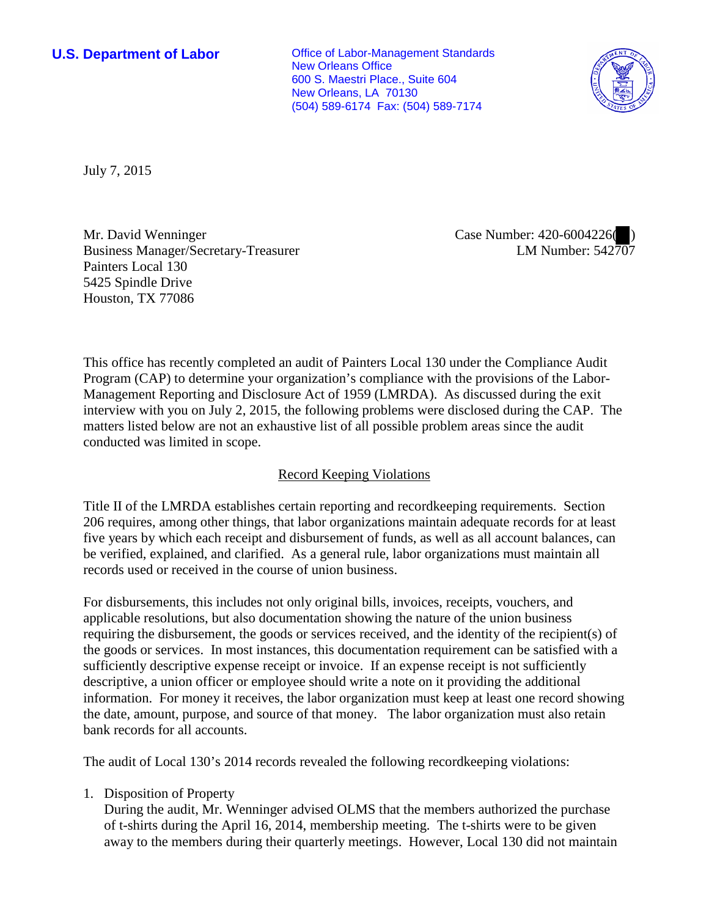**U.S. Department of Labor Conservative Conservative Conservative Conservative Conservative Conservative Conservative Conservative Conservative Conservative Conservative Conservative Conservative Conservative Conservative** New Orleans Office 600 S. Maestri Place., Suite 604 New Orleans, LA 70130 (504) 589-6174 Fax: (504) 589-7174



July 7, 2015

Mr. David Wenninger Business Manager/Secretary-Treasurer Painters Local 130 5425 Spindle Drive Houston, TX 77086

Case Number: 420-6004226( ) LM Number: 542707

This office has recently completed an audit of Painters Local 130 under the Compliance Audit Program (CAP) to determine your organization's compliance with the provisions of the Labor-Management Reporting and Disclosure Act of 1959 (LMRDA). As discussed during the exit interview with you on July 2, 2015, the following problems were disclosed during the CAP. The matters listed below are not an exhaustive list of all possible problem areas since the audit conducted was limited in scope.

## Record Keeping Violations

Title II of the LMRDA establishes certain reporting and recordkeeping requirements. Section 206 requires, among other things, that labor organizations maintain adequate records for at least five years by which each receipt and disbursement of funds, as well as all account balances, can be verified, explained, and clarified. As a general rule, labor organizations must maintain all records used or received in the course of union business.

For disbursements, this includes not only original bills, invoices, receipts, vouchers, and applicable resolutions, but also documentation showing the nature of the union business requiring the disbursement, the goods or services received, and the identity of the recipient(s) of the goods or services. In most instances, this documentation requirement can be satisfied with a sufficiently descriptive expense receipt or invoice. If an expense receipt is not sufficiently descriptive, a union officer or employee should write a note on it providing the additional information. For money it receives, the labor organization must keep at least one record showing the date, amount, purpose, and source of that money. The labor organization must also retain bank records for all accounts.

The audit of Local 130's 2014 records revealed the following recordkeeping violations:

1. Disposition of Property

During the audit, Mr. Wenninger advised OLMS that the members authorized the purchase of t-shirts during the April 16, 2014, membership meeting. The t-shirts were to be given away to the members during their quarterly meetings. However, Local 130 did not maintain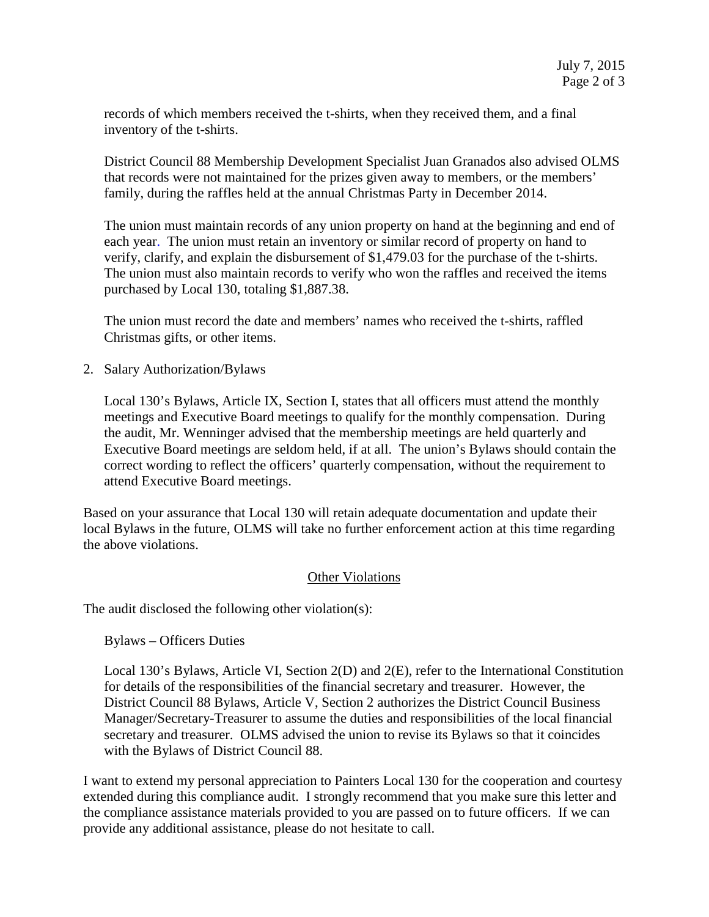records of which members received the t-shirts, when they received them, and a final inventory of the t-shirts.

District Council 88 Membership Development Specialist Juan Granados also advised OLMS that records were not maintained for the prizes given away to members, or the members' family, during the raffles held at the annual Christmas Party in December 2014.

The union must maintain records of any union property on hand at the beginning and end of each year. The union must retain an inventory or similar record of property on hand to verify, clarify, and explain the disbursement of \$1,479.03 for the purchase of the t-shirts. The union must also maintain records to verify who won the raffles and received the items purchased by Local 130, totaling \$1,887.38.

The union must record the date and members' names who received the t-shirts, raffled Christmas gifts, or other items.

2. Salary Authorization/Bylaws

Local 130's Bylaws, Article IX, Section I, states that all officers must attend the monthly meetings and Executive Board meetings to qualify for the monthly compensation. During the audit, Mr. Wenninger advised that the membership meetings are held quarterly and Executive Board meetings are seldom held, if at all. The union's Bylaws should contain the correct wording to reflect the officers' quarterly compensation, without the requirement to attend Executive Board meetings.

Based on your assurance that Local 130 will retain adequate documentation and update their local Bylaws in the future, OLMS will take no further enforcement action at this time regarding the above violations.

## Other Violations

The audit disclosed the following other violation(s):

Bylaws – Officers Duties

Local 130's Bylaws, Article VI, Section 2(D) and 2(E), refer to the International Constitution for details of the responsibilities of the financial secretary and treasurer. However, the District Council 88 Bylaws, Article V, Section 2 authorizes the District Council Business Manager/Secretary-Treasurer to assume the duties and responsibilities of the local financial secretary and treasurer. OLMS advised the union to revise its Bylaws so that it coincides with the Bylaws of District Council 88.

I want to extend my personal appreciation to Painters Local 130 for the cooperation and courtesy extended during this compliance audit. I strongly recommend that you make sure this letter and the compliance assistance materials provided to you are passed on to future officers. If we can provide any additional assistance, please do not hesitate to call.